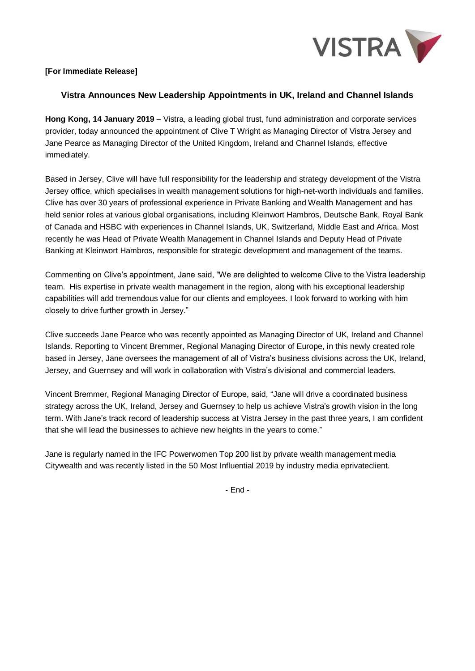

## **[For Immediate Release]**

## **Vistra Announces New Leadership Appointments in UK, Ireland and Channel Islands**

**Hong Kong, 14 January 2019** – Vistra, a leading global trust, fund administration and corporate services provider, today announced the appointment of Clive T Wright as Managing Director of Vistra Jersey and Jane Pearce as Managing Director of the United Kingdom, Ireland and Channel Islands, effective immediately.

Based in Jersey, Clive will have full responsibility for the leadership and strategy development of the Vistra Jersey office, which specialises in wealth management solutions for high-net-worth individuals and families. Clive has over 30 years of professional experience in Private Banking and Wealth Management and has held senior roles at various global organisations, including Kleinwort Hambros, Deutsche Bank, Royal Bank of Canada and HSBC with experiences in Channel Islands, UK, Switzerland, Middle East and Africa. Most recently he was Head of Private Wealth Management in Channel Islands and Deputy Head of Private Banking at Kleinwort Hambros, responsible for strategic development and management of the teams.

Commenting on Clive's appointment, Jane said, "We are delighted to welcome Clive to the Vistra leadership team. His expertise in private wealth management in the region, along with his exceptional leadership capabilities will add tremendous value for our clients and employees. I look forward to working with him closely to drive further growth in Jersey."

Clive succeeds Jane Pearce who was recently appointed as Managing Director of UK, Ireland and Channel Islands. Reporting to Vincent Bremmer, Regional Managing Director of Europe, in this newly created role based in Jersey, Jane oversees the management of all of Vistra's business divisions across the UK, Ireland, Jersey, and Guernsey and will work in collaboration with Vistra's divisional and commercial leaders.

Vincent Bremmer, Regional Managing Director of Europe, said, "Jane will drive a coordinated business strategy across the UK, Ireland, Jersey and Guernsey to help us achieve Vistra's growth vision in the long term. With Jane's track record of leadership success at Vistra Jersey in the past three years, I am confident that she will lead the businesses to achieve new heights in the years to come."

Jane is regularly named in the IFC Powerwomen Top 200 list by private wealth management media Citywealth and was recently listed in the 50 Most Influential 2019 by industry media eprivateclient.

- End -